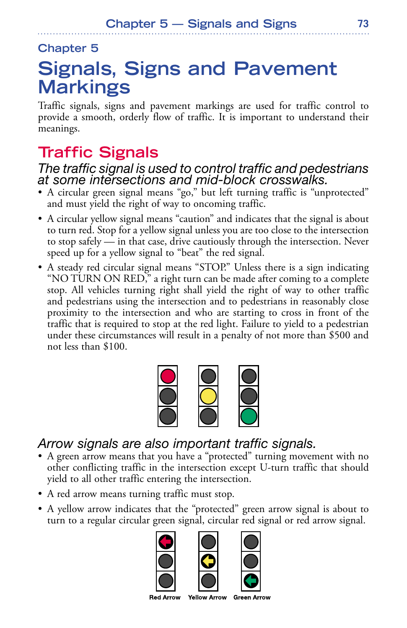#### **Chapter 5**

# **Signals, Signs and Pavement Markings**

Traffic signals, signs and pavement markings are used for traffic control to provide a smooth, orderly flow of traffic. It is important to understand their meanings.

## **Traffic Signals**

#### *The traffic signal is used to control traffic and pedestrians at some intersections and mid-block crosswalks.*

- A circular green signal means "go," but left turning traffic is "unprotected" and must yield the right of way to oncoming traffic.
- A circular yellow signal means "caution" and indicates that the signal is about to turn red. Stop for a yellow signal unless you are too close to the intersection to stop safely — in that case, drive cautiously through the intersection. Never speed up for a yellow signal to "beat" the red signal.
- A steady red circular signal means "STOP." Unless there is a sign indicating "NO TURN ON RED," a right turn can be made after coming to a complete stop. All vehicles turning right shall yield the right of way to other traffic and pedestrians using the intersection and to pedestrians in reasonably close proximity to the intersection and who are starting to cross in front of the traffic that is required to stop at the red light. Failure to yield to a pedestrian under these circumstances will result in a penalty of not more than \$500 and not less than \$100.



#### *Arrow signals are also important traffic signals.*

- A green arrow means that you have a "protected" turning movement with no other conflicting traffic in the intersection except U-turn traffic that should yield to all other traffic entering the intersection.
- A red arrow means turning traffic must stop.
- A yellow arrow indicates that the "protected" green arrow signal is about to turn to a regular circular green signal, circular red signal or red arrow signal.





**Red Arrow** 

**Yellow Arrow Green Arrow**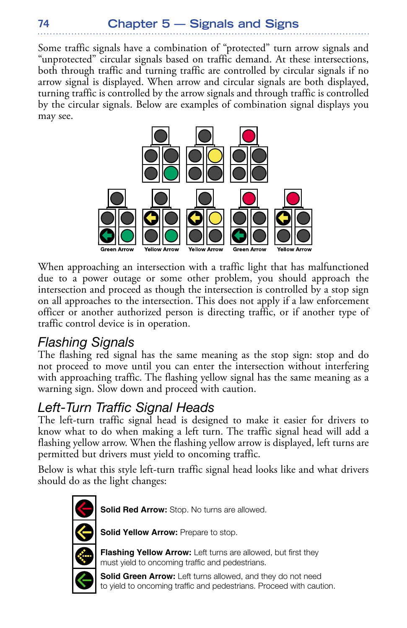### **Chapter 5 — Signals and Signs**

Some traffic signals have a combination of "protected" turn arrow signals and "unprotected" circular signals based on traffic demand. At these intersections, both through traffic and turning traffic are controlled by circular signals if no arrow signal is displayed. When arrow and circular signals are both displayed, turning traffic is controlled by the arrow signals and through traffic is controlled by the circular signals. Below are examples of combination signal displays you may see.



When approaching an intersection with a traffic light that has malfunctioned due to a power outage or some other problem, you should approach the intersection and proceed as though the intersection is controlled by a stop sign on all approaches to the intersection. This does not apply if a law enforcement officer or another authorized person is directing traffic, or if another type of traffic control device is in operation.

#### *Flashing Signals*

The flashing red signal has the same meaning as the stop sign: stop and do not proceed to move until you can enter the intersection without interfering with approaching traffic. The flashing yellow signal has the same meaning as a warning sign. Slow down and proceed with caution.

#### *Left-Turn Traffic Signal Heads*

The left-turn traffic signal head is designed to make it easier for drivers to know what to do when making a left turn. The traffic signal head will add a flashing yellow arrow. When the flashing yellow arrow is displayed, left turns are permitted but drivers must yield to oncoming traffic.

Below is what this style left-turn traffic signal head looks like and what drivers should do as the light changes:



**Solid Red Arrow:** Stop. No turns are allowed.

**Solid Yellow Arrow: Prepare to stop.** 

**Flashing Yellow Arrow:** Left turns are allowed, but first they must yield to oncoming traffic and pedestrians.



**Solid Green Arrow:** Left turns allowed, and they do not need to yield to oncoming traffic and pedestrians. Proceed with caution.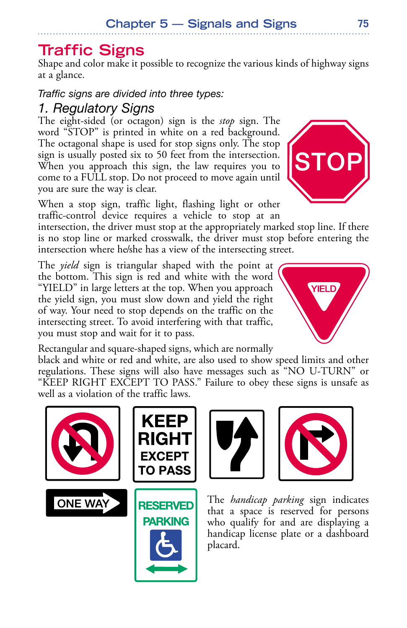## **Traffic Signs**

Shape and color make it possible to recognize the various kinds of highway signs at a glance.

*Traffic signs are divided into three types:*

### *1. Regulatory Signs*

The eight-sided (or octagon) sign is the *stop* sign. The word "STOP" is printed in white on a red background. The octagonal shape is used for stop signs only. The stop sign is usually posted six to 50 feet from the intersection. When you approach this sign, the law requires you to come to a FULL stop. Do not proceed to move again until you are sure the way is clear.

When a stop sign, traffic light, flashing light or other traffic-control device requires a vehicle to stop at an

intersection, the driver must stop at the appropriately marked stop line. If there is no stop line or marked crosswalk, the driver must stop before entering the intersection where he/she has a view of the intersecting street.

The *yield* sign is triangular shaped with the point at the bottom. This sign is red and white with the word "YIELD" in large letters at the top. When you approach the yield sign, you must slow down and yield the right of way. Your need to stop depends on the traffic on the intersecting street. To avoid interfering with that traffic, you must stop and wait for it to pass.

Rectangular and square-shaped signs, which are normally

black and white or red and white, are also used to show speed limits and other regulations. These signs will also have messages such as "NO U-TURN" or "KEEP RIGHT EXCEPT TO PASS." Failure to obey these signs is unsafe as well as a violation of the traffic laws.











The *handicap parking* sign indicates that a space is reserved for persons who qualify for and are displaying a handicap license plate or a dashboard placard.



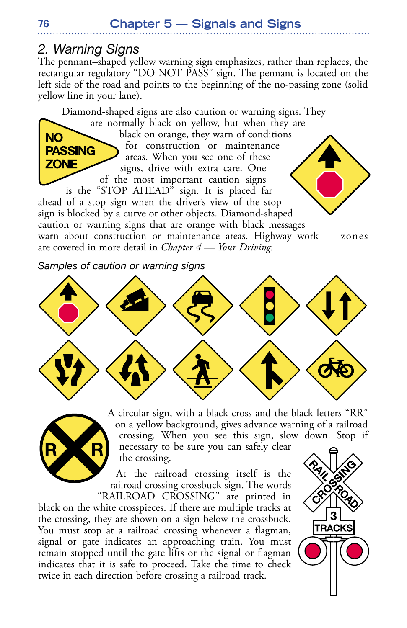#### *2. Warning Signs*

The pennant–shaped yellow warning sign emphasizes, rather than replaces, the rectangular regulatory "DO NOT PASS" sign. The pennant is located on the left side of the road and points to the beginning of the no-passing zone (solid yellow line in your lane).

Diamond-shaped signs are also caution or warning signs. They

are normally black on yellow, but when they are black on orange, they warn of conditions for construction or maintenance areas. When you see one of these signs, drive with extra care. One of the most important caution signs

is the "STOP AHEAD" sign. It is placed far ahead of a stop sign when the driver's view of the stop sign is blocked by a curve or other objects. Diamond-shaped caution or warning signs that are orange with black messages warn about construction or maintenance areas. Highway work zones are covered in more detail in *Chapter 4 — Your Driving.*

*Samples of caution or warning signs*





A circular sign, with a black cross and the black letters "RR" on a yellow background, gives advance warning of a railroad crossing. When you see this sign, slow down. Stop if necessary to be sure you can safely clear the crossing.

At the railroad crossing itself is the railroad crossing crossbuck sign. The words "RAILROAD CROSSING" are printed in

black on the white crosspieces. If there are multiple tracks at the crossing, they are shown on a sign below the crossbuck. You must stop at a railroad crossing whenever a flagman, signal or gate indicates an approaching train. You must remain stopped until the gate lifts or the signal or flagman indicates that it is safe to proceed. Take the time to check twice in each direction before crossing a railroad track.



**76**

**NO** 

**PASSING ZONE**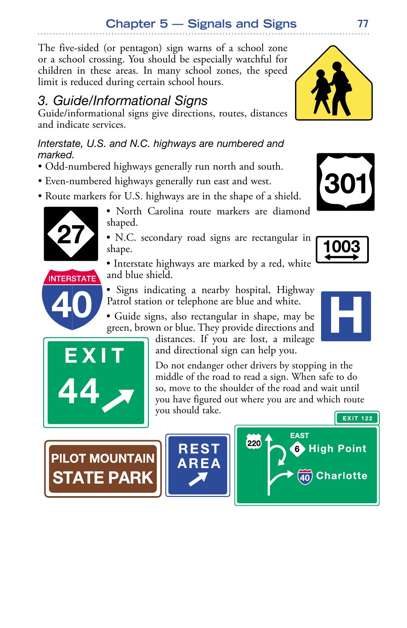### **Chapter 5 — Signals and Signs**

The five-sided (or pentagon) sign warns of a school zone or a school crossing. You should be especially watchful for children in these areas. In many school zones, the speed limit is reduced during certain school hours.

### *3. Guide/Informational Signs*

Guide/informational signs give directions, routes, distances and indicate services.

*Interstate, U.S. and N.C. highways are numbered and marked.*

- Odd-numbered highways generally run north and south.
- Even-numbered highways generally run east and west.
- Route markers for U.S. highways are in the shape of a shield.



• North Carolina route markers are diamond shaped.

• N.C. secondary road signs are rectangular in shape.

• Interstate highways are marked by a red, white and blue shield.



• Signs indicating a nearby hospital, Highway Patrol station or telephone are blue and white.

• Guide signs, also rectangular in shape, may be green, brown or blue. They provide directions and

distances. If you are lost, a mileage and directional sign can help you.

Do not endanger other drivers by stopping in the middle of the road to read a sign. When safe to do so, move to the shoulder of the road and wait until you have figured out where you are and which route you should take.

**PILOT MOUNTAIN PARK** 









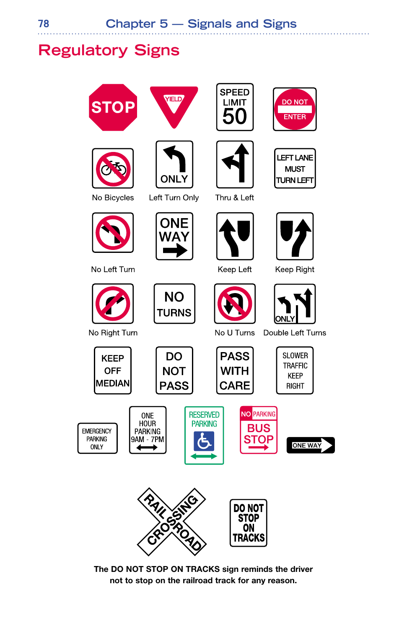## **Regulatory Signs**









. . . . . . . . . . . .



No Left Turn

No Right Turn

**EMERGENCY** 

PARKING

**ONLY** 



**NO TURNS** 





Thru & Left



Keep Left







Double Left Turns



**ONE HOUR** 

PARKING

**DO NOT PASS** 









**The DO NOT STOP ON TRACKS sign reminds the driver not to stop on the railroad track for any reason.**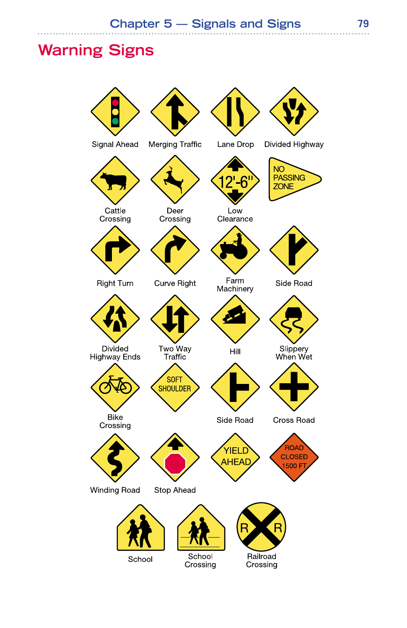### **Warning Signs**